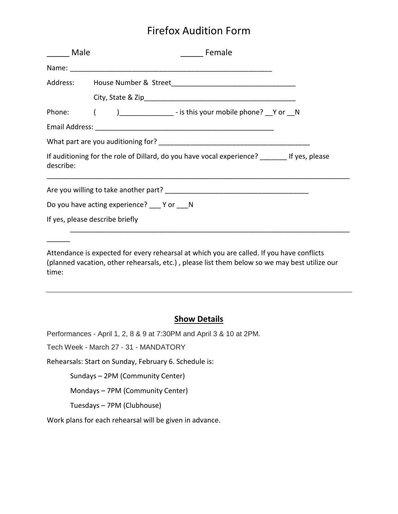## Firefox Audition Form

| _____ Male | <b>Example</b> Female                                                                        |
|------------|----------------------------------------------------------------------------------------------|
|            |                                                                                              |
|            |                                                                                              |
|            |                                                                                              |
|            | Phone: ( )_____________ - is this your mobile phone? Y or N                                  |
|            |                                                                                              |
|            |                                                                                              |
| describe:  | If auditioning for the role of Dillard, do you have vocal experience? _______ If yes, please |
|            |                                                                                              |
|            | Do you have acting experience? Yor N                                                         |
|            | If yes, please describe briefly                                                              |

Attendance is expected for every rehearsal at which you are called. If you have conflicts (planned vacation, other rehearsals, etc.) , please list them below so we may best utilize our time:

#### **Show Details**

Performances - April 1, 2, 8 & 9 at 7:30PM and April 3 & 10 at 2PM.

Tech Week - March 27 - 31 - MANDATORY

 $\overline{\phantom{a}}$ 

Rehearsals: Start on Sunday, February 6. Schedule is:

Sundays – 2PM (Community Center)

Mondays – 7PM (Community Center)

Tuesdays – 7PM (Clubhouse)

Work plans for each rehearsal will be given in advance.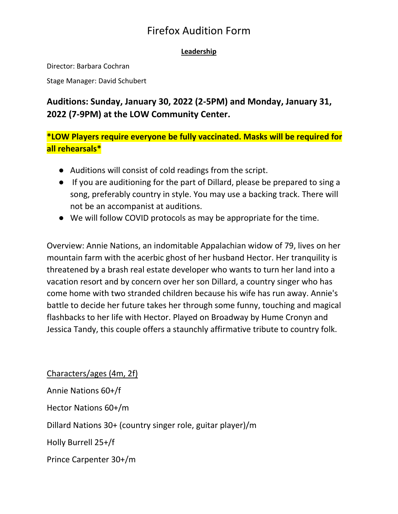## Firefox Audition Form

#### **Leadership**

Director: Barbara Cochran

Stage Manager: David Schubert

### **Auditions: Sunday, January 30, 2022 (2-5PM) and Monday, January 31, 2022 (7-9PM) at the LOW Community Center.**

**\*LOW Players require everyone be fully vaccinated. Masks will be required for all rehearsals\***

- Auditions will consist of cold readings from the script.
- If you are auditioning for the part of Dillard, please be prepared to sing a song, preferably country in style. You may use a backing track. There will not be an accompanist at auditions.
- We will follow COVID protocols as may be appropriate for the time.

Overview: Annie Nations, an indomitable Appalachian widow of 79, lives on her mountain farm with the acerbic ghost of her husband Hector. Her tranquility is threatened by a brash real estate developer who wants to turn her land into a vacation resort and by concern over her son Dillard, a country singer who has come home with two stranded children because his wife has run away. Annie's battle to decide her future takes her through some funny, touching and magical flashbacks to her life with Hector. Played on Broadway by Hume Cronyn and Jessica Tandy, this couple offers a staunchly affirmative tribute to country folk.

Characters/ages (4m, 2f) Annie Nations 60+/f Hector Nations 60+/m Dillard Nations 30+ (country singer role, guitar player)/m Holly Burrell 25+/f Prince Carpenter 30+/m